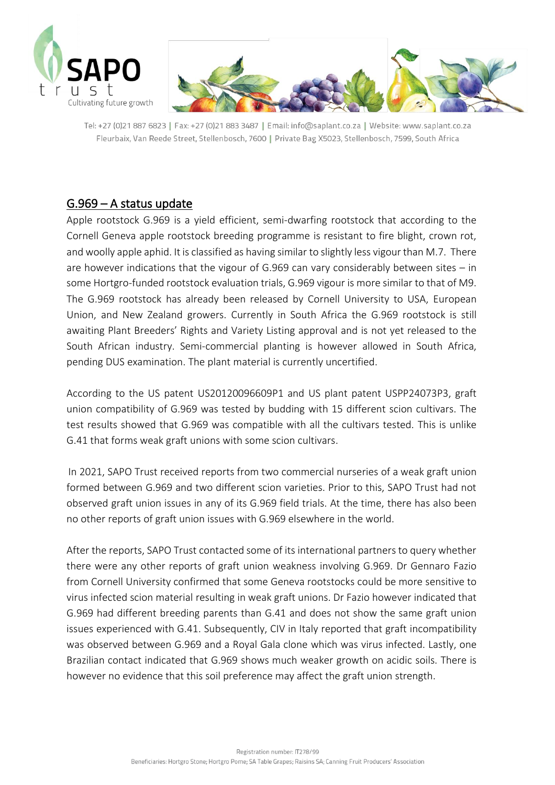



Tel: +27 (0)21 887 6823 | Fax: +27 (0)21 883 3487 | Email: info@saplant.co.za | Website: www.saplant.co.za Fleurbaix, Van Reede Street, Stellenbosch, 7600 | Private Bag X5023, Stellenbosch, 7599, South Africa

## G.969 – A status update

Apple rootstock G.969 is a yield efficient, semi-dwarfing rootstock that according to the Cornell Geneva apple rootstock breeding programme is resistant to fire blight, crown rot, and woolly apple aphid. It is classified as having similar to slightly less vigour than M.7. There are however indications that the vigour of G.969 can vary considerably between sites – in some Hortgro-funded rootstock evaluation trials, G.969 vigour is more similar to that of M9. The G.969 rootstock has already been released by Cornell University to USA, European Union, and New Zealand growers. Currently in South Africa the G.969 rootstock is still awaiting Plant Breeders' Rights and Variety Listing approval and is not yet released to the South African industry. Semi-commercial planting is however allowed in South Africa, pending DUS examination. The plant material is currently uncertified.

According to the US patent US20120096609P1 and US plant patent USPP24073P3, graft union compatibility of G.969 was tested by budding with 15 different scion cultivars. The test results showed that G.969 was compatible with all the cultivars tested. This is unlike G.41 that forms weak graft unions with some scion cultivars.

In 2021, SAPO Trust received reports from two commercial nurseries of a weak graft union formed between G.969 and two different scion varieties. Prior to this, SAPO Trust had not observed graft union issues in any of its G.969 field trials. At the time, there has also been no other reports of graft union issues with G.969 elsewhere in the world.

After the reports, SAPO Trust contacted some of its international partners to query whether there were any other reports of graft union weakness involving G.969. Dr Gennaro Fazio from Cornell University confirmed that some Geneva rootstocks could be more sensitive to virus infected scion material resulting in weak graft unions. Dr Fazio however indicated that G.969 had different breeding parents than G.41 and does not show the same graft union issues experienced with G.41. Subsequently, CIV in Italy reported that graft incompatibility was observed between G.969 and a Royal Gala clone which was virus infected. Lastly, one Brazilian contact indicated that G.969 shows much weaker growth on acidic soils. There is however no evidence that this soil preference may affect the graft union strength.